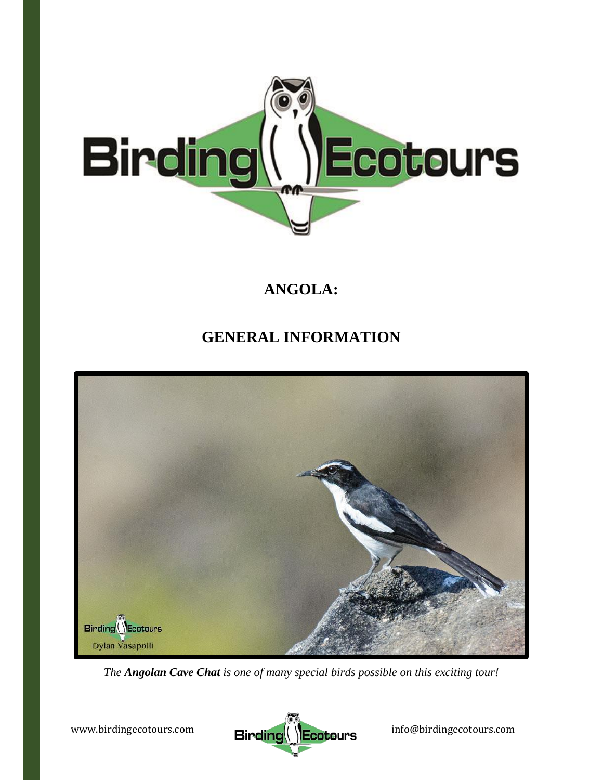

# **ANGOLA:**

# **GENERAL INFORMATION**



*The Angolan Cave Chat is one of many special birds possible on this exciting tour!*

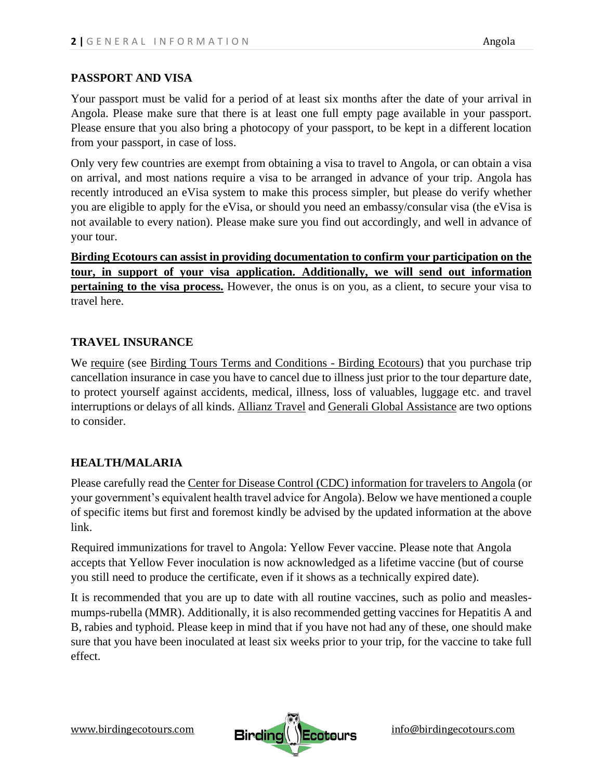#### **PASSPORT AND VISA**

Your passport must be valid for a period of at least six months after the date of your arrival in Angola. Please make sure that there is at least one full empty page available in your passport. Please ensure that you also bring a photocopy of your passport, to be kept in a different location from your passport, in case of loss.

Only very few countries are exempt from obtaining a visa to travel to Angola, or can obtain a visa on arrival, and most nations require a visa to be arranged in advance of your trip. Angola has recently introduced an eVisa system to make this process simpler, but please do verify whether you are eligible to apply for the eVisa, or should you need an embassy/consular visa (the eVisa is not available to every nation). Please make sure you find out accordingly, and well in advance of your tour.

**Birding Ecotours can assist in providing documentation to confirm your participation on the tour, in support of your visa application. Additionally, we will send out information pertaining to the visa process.** However, the onus is on you, as a client, to secure your visa to travel here.

## **TRAVEL INSURANCE**

We require (see [Birding Tours Terms and Conditions -](https://www.birdingecotours.com/about-birding-ecotours/terms-conditions/) Birding Ecotours) that you purchase trip cancellation insurance in case you have to cancel due to illness just prior to the tour departure date, to protect yourself against accidents, medical, illness, loss of valuables, luggage etc. and travel interruptions or delays of all kinds. [Allianz Travel](http://www.allianztravelinsurance.com/) and [Generali Global Assistance](https://shop.generalitravelinsurance.com/csa-travel-protection) are two options to consider.

# **HEALTH/MALARIA**

Please carefully read the [Center for Disease Control \(CDC\) information for travelers to Angola](https://wwwnc.cdc.gov/travel/destinations/traveler/none/angola) (or your government's equivalent health travel advice for Angola). Below we have mentioned a couple of specific items but first and foremost kindly be advised by the updated information at the above link.

Required immunizations for travel to Angola: Yellow Fever vaccine. Please note that Angola accepts that Yellow Fever inoculation is now acknowledged as a lifetime vaccine (but of course you still need to produce the certificate, even if it shows as a technically expired date).

It is recommended that you are up to date with all routine vaccines, such as polio and measlesmumps-rubella (MMR). Additionally, it is also recommended getting vaccines for Hepatitis A and B, rabies and typhoid. Please keep in mind that if you have not had any of these, one should make sure that you have been inoculated at least six weeks prior to your trip, for the vaccine to take full effect.

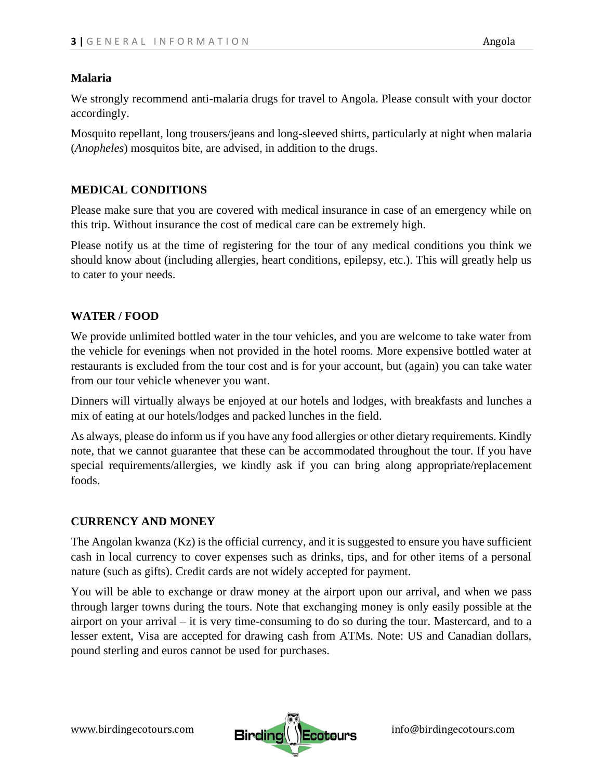#### **Malaria**

We strongly recommend anti-malaria drugs for travel to Angola. Please consult with your doctor accordingly.

Mosquito repellant, long trousers/jeans and long-sleeved shirts, particularly at night when malaria (*Anopheles*) mosquitos bite, are advised, in addition to the drugs.

## **MEDICAL CONDITIONS**

Please make sure that you are covered with medical insurance in case of an emergency while on this trip. Without insurance the cost of medical care can be extremely high.

Please notify us at the time of registering for the tour of any medical conditions you think we should know about (including allergies, heart conditions, epilepsy, etc.). This will greatly help us to cater to your needs.

## **WATER / FOOD**

We provide unlimited bottled water in the tour vehicles, and you are welcome to take water from the vehicle for evenings when not provided in the hotel rooms. More expensive bottled water at restaurants is excluded from the tour cost and is for your account, but (again) you can take water from our tour vehicle whenever you want.

Dinners will virtually always be enjoyed at our hotels and lodges, with breakfasts and lunches a mix of eating at our hotels/lodges and packed lunches in the field.

As always, please do inform us if you have any food allergies or other dietary requirements. Kindly note, that we cannot guarantee that these can be accommodated throughout the tour. If you have special requirements/allergies, we kindly ask if you can bring along appropriate/replacement foods.

#### **CURRENCY AND MONEY**

The Angolan kwanza (Kz) is the official currency, and it is suggested to ensure you have sufficient cash in local currency to cover expenses such as drinks, tips, and for other items of a personal nature (such as gifts). Credit cards are not widely accepted for payment.

You will be able to exchange or draw money at the airport upon our arrival, and when we pass through larger towns during the tours. Note that exchanging money is only easily possible at the airport on your arrival – it is very time-consuming to do so during the tour. Mastercard, and to a lesser extent, Visa are accepted for drawing cash from ATMs. Note: US and Canadian dollars, pound sterling and euros cannot be used for purchases.

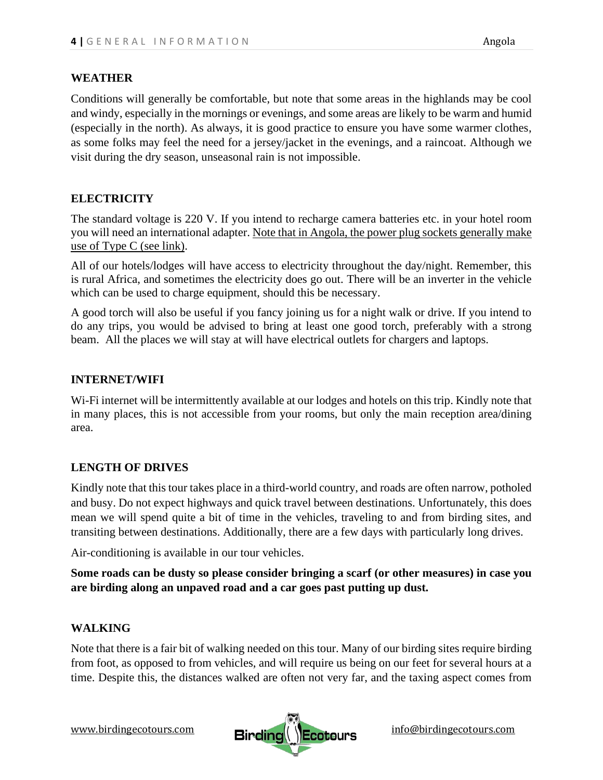#### **WEATHER**

Conditions will generally be comfortable, but note that some areas in the highlands may be cool and windy, especially in the mornings or evenings, and some areas are likely to be warm and humid (especially in the north). As always, it is good practice to ensure you have some warmer clothes, as some folks may feel the need for a jersey/jacket in the evenings, and a raincoat. Although we visit during the dry season, unseasonal rain is not impossible.

## **ELECTRICITY**

The standard voltage is 220 V. If you intend to recharge camera batteries etc. in your hotel room you will need an international adapter[. Note that in Angola, the power plug sockets generally make](https://www.power-plugs-sockets.com/angola/)  [use of Type C](https://www.power-plugs-sockets.com/angola/) (see link).

All of our hotels/lodges will have access to electricity throughout the day/night. Remember, this is rural Africa, and sometimes the electricity does go out. There will be an inverter in the vehicle which can be used to charge equipment, should this be necessary.

A good torch will also be useful if you fancy joining us for a night walk or drive. If you intend to do any trips, you would be advised to bring at least one good torch, preferably with a strong beam. All the places we will stay at will have electrical outlets for chargers and laptops.

#### **INTERNET/WIFI**

Wi-Fi internet will be intermittently available at our lodges and hotels on this trip. Kindly note that in many places, this is not accessible from your rooms, but only the main reception area/dining area.

#### **LENGTH OF DRIVES**

Kindly note that this tour takes place in a third-world country, and roads are often narrow, potholed and busy. Do not expect highways and quick travel between destinations. Unfortunately, this does mean we will spend quite a bit of time in the vehicles, traveling to and from birding sites, and transiting between destinations. Additionally, there are a few days with particularly long drives.

Air-conditioning is available in our tour vehicles.

**Some roads can be dusty so please consider bringing a scarf (or other measures) in case you are birding along an unpaved road and a car goes past putting up dust.** 

#### **WALKING**

Note that there is a fair bit of walking needed on this tour. Many of our birding sites require birding from foot, as opposed to from vehicles, and will require us being on our feet for several hours at a time. Despite this, the distances walked are often not very far, and the taxing aspect comes from

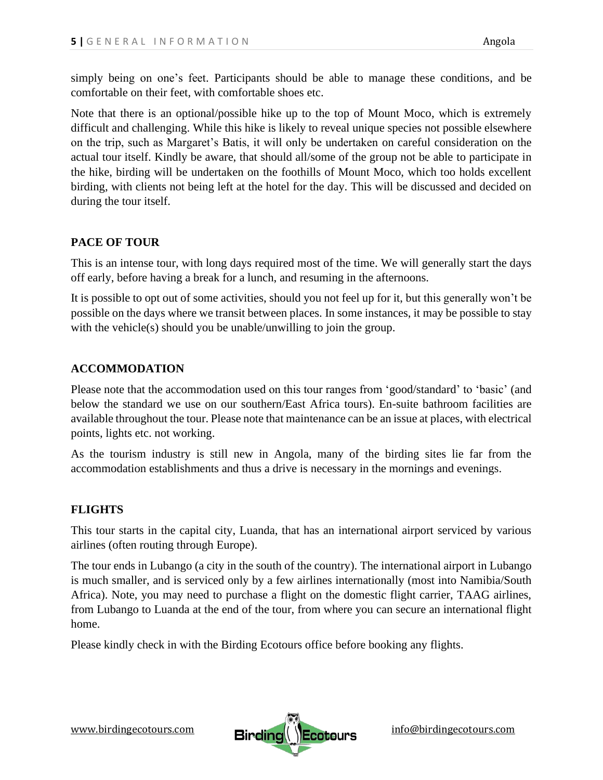simply being on one's feet. Participants should be able to manage these conditions, and be comfortable on their feet, with comfortable shoes etc.

Note that there is an optional/possible hike up to the top of Mount Moco, which is extremely difficult and challenging. While this hike is likely to reveal unique species not possible elsewhere on the trip, such as Margaret's Batis, it will only be undertaken on careful consideration on the actual tour itself. Kindly be aware, that should all/some of the group not be able to participate in the hike, birding will be undertaken on the foothills of Mount Moco, which too holds excellent birding, with clients not being left at the hotel for the day. This will be discussed and decided on during the tour itself.

# **PACE OF TOUR**

This is an intense tour, with long days required most of the time. We will generally start the days off early, before having a break for a lunch, and resuming in the afternoons.

It is possible to opt out of some activities, should you not feel up for it, but this generally won't be possible on the days where we transit between places. In some instances, it may be possible to stay with the vehicle(s) should you be unable/unwilling to join the group.

## **ACCOMMODATION**

Please note that the accommodation used on this tour ranges from 'good/standard' to 'basic' (and below the standard we use on our southern/East Africa tours). En-suite bathroom facilities are available throughout the tour. Please note that maintenance can be an issue at places, with electrical points, lights etc. not working.

As the tourism industry is still new in Angola, many of the birding sites lie far from the accommodation establishments and thus a drive is necessary in the mornings and evenings.

# **FLIGHTS**

This tour starts in the capital city, Luanda, that has an international airport serviced by various airlines (often routing through Europe).

The tour ends in Lubango (a city in the south of the country). The international airport in Lubango is much smaller, and is serviced only by a few airlines internationally (most into Namibia/South Africa). Note, you may need to purchase a flight on the domestic flight carrier, TAAG airlines, from Lubango to Luanda at the end of the tour, from where you can secure an international flight home.

Please kindly check in with the Birding Ecotours office before booking any flights.